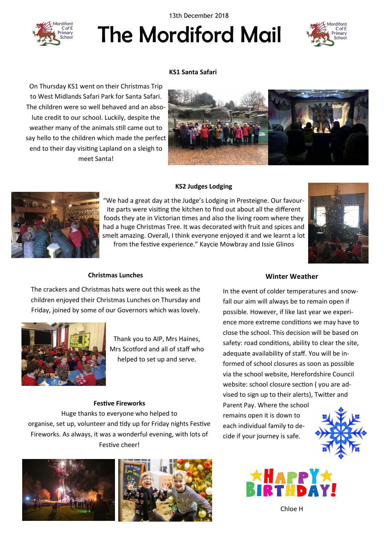13th December 2018



# The Mordiford Mail



## **KS1 Santa Safari**

On Thursday KS1 went on their Christmas Trip to West Midlands Safari Park for Santa Safari. The children were so well behaved and an absolute credit to our school. Luckily, despite the weather many of the animals still came out to say hello to the children which made the perfect end to their day visiting Lapland on a sleigh to meet Santa!



#### **KS2 Judges Lodging**

"We had a great day at the Judge's Lodging in Presteigne. Our favourite parts were visiting the kitchen to find out about all the different foods they ate in Victorian times and also the living room where they had a huge Christmas Tree. It was decorated with fruit and spices and smelt amazing. Overall, I think everyone enjoyed it and we learnt a lot from the festive experience." Kaycie Mowbray and Issie Glinos





The crackers and Christmas hats were out this week as the children enjoyed their Christmas Lunches on Thursday and Friday, joined by some of our Governors which was lovely.

**Christmas Lunches**



Thank you to AIP, Mrs Haines, Mrs Scotford and all of staff who helped to set up and serve.

#### **Festive Fireworks**

Huge thanks to everyone who helped to organise, set up, volunteer and tidy up for Friday nights Festive Fireworks. As always, it was a wonderful evening, with lots of Festive cheer!





#### **Winter Weather**

In the event of colder temperatures and snowfall our aim will always be to remain open if possible. However, if like last year we experience more extreme conditions we may have to close the school. This decision will be based on safety: road conditions, ability to clear the site, adequate availability of staff. You will be informed of school closures as soon as possible via the school website, Herefordshire Council website: school closure section ( you are advised to sign up to their alerts), Twitter and Parent Pay. Where the school

remains open it is down to each individual family to decide if your journey is safe.





Chloe H